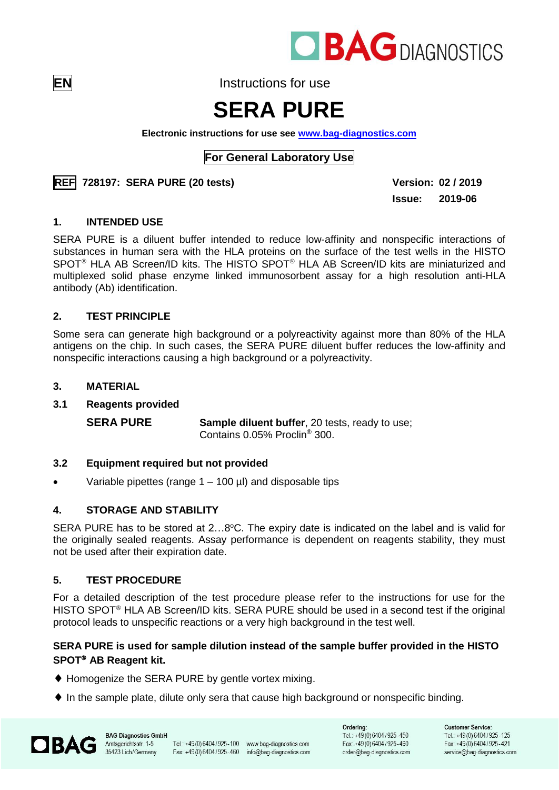

**EN** Instructions for use

# **SERA PURE**

**Electronic instructions for use see [www.bag-diagnostics.com](http://www.bag-diagnostics.com/)**

# **For General Laboratory Use**



**Issue: 2019-06**

#### **1. INTENDED USE**

SERA PURE is a diluent buffer intended to reduce low-affinity and nonspecific interactions of substances in human sera with the HLA proteins on the surface of the test wells in the HISTO SPOT<sup>®</sup> HLA AB Screen/ID kits. The HISTO SPOT<sup>®</sup> HLA AB Screen/ID kits are miniaturized and multiplexed solid phase enzyme linked immunosorbent assay for a high resolution anti-HLA antibody (Ab) identification.

# **2. TEST PRINCIPLE**

Some sera can generate high background or a polyreactivity against more than 80% of the HLA antigens on the chip. In such cases, the SERA PURE diluent buffer reduces the low-affinity and nonspecific interactions causing a high background or a polyreactivity.

# **3. MATERIAL**

#### **3.1 Reagents provided**

**SERA PURE Sample diluent buffer**, 20 tests, ready to use; Contains 0.05% Proclin® 300.

#### **3.2 Equipment required but not provided**

• Variable pipettes (range 1 – 100 µl) and disposable tips

# **4. STORAGE AND STABILITY**

SERA PURE has to be stored at 2...8°C. The expiry date is indicated on the label and is valid for the originally sealed reagents. Assay performance is dependent on reagents stability, they must not be used after their expiration date.

#### **5. TEST PROCEDURE**

For a detailed description of the test procedure please refer to the instructions for use for the HISTO SPOT<sup>®</sup> HLA AB Screen/ID kits. SERA PURE should be used in a second test if the original protocol leads to unspecific reactions or a very high background in the test well.

# **SERA PURE is used for sample dilution instead of the sample buffer provided in the HISTO SPOT<sup>®</sup> AB Reagent kit.**

- ◆ Homogenize the SERA PURE by gentle vortex mixing.
- $\blacklozenge$  In the sample plate, dilute only sera that cause high background or nonspecific binding.



**BAG Diagnostics GmbH** Amtsgerichtsstr. 1-5 35423 Lich/Germany

Tel.: +49(0)6404/925-100 www.bag-diagnostics.com Fax: +49(0) 6404/925-460 info@bag-diagnostics.com

Ordering: Tel.: +49(0)6404/925-450 Fax: +49(0)6404/925-460 order@bag-diagnostics.com

**Customer Service:** Tel.: +49(0)6404/925-125 Fax: +49(0)6404/925-421 service@bag-diagnostics.com